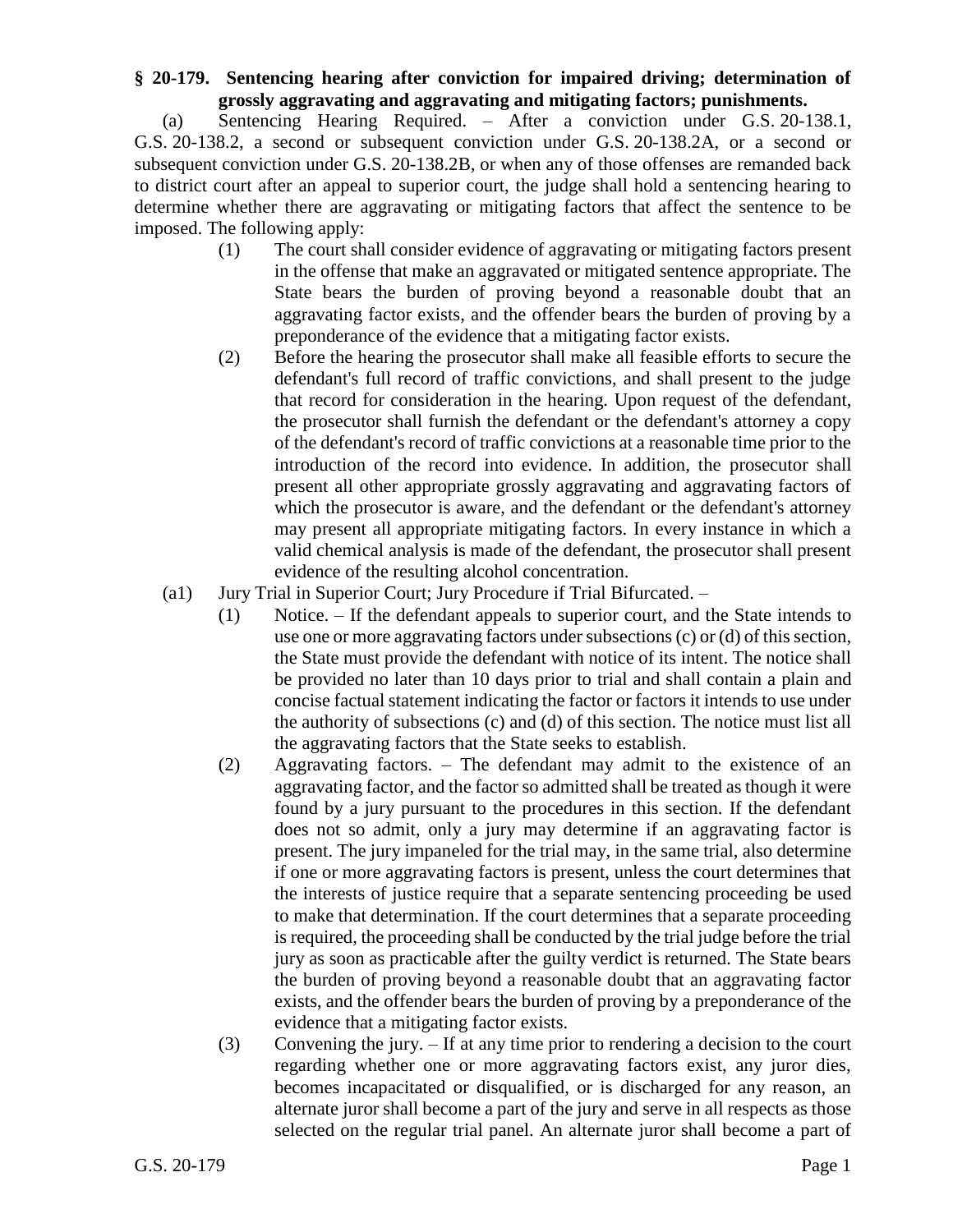## **§ 20-179. Sentencing hearing after conviction for impaired driving; determination of grossly aggravating and aggravating and mitigating factors; punishments.**

(a) Sentencing Hearing Required. – After a conviction under G.S. 20-138.1, G.S. 20-138.2, a second or subsequent conviction under G.S. 20-138.2A, or a second or subsequent conviction under G.S. 20-138.2B, or when any of those offenses are remanded back to district court after an appeal to superior court, the judge shall hold a sentencing hearing to determine whether there are aggravating or mitigating factors that affect the sentence to be imposed. The following apply:

- (1) The court shall consider evidence of aggravating or mitigating factors present in the offense that make an aggravated or mitigated sentence appropriate. The State bears the burden of proving beyond a reasonable doubt that an aggravating factor exists, and the offender bears the burden of proving by a preponderance of the evidence that a mitigating factor exists.
- (2) Before the hearing the prosecutor shall make all feasible efforts to secure the defendant's full record of traffic convictions, and shall present to the judge that record for consideration in the hearing. Upon request of the defendant, the prosecutor shall furnish the defendant or the defendant's attorney a copy of the defendant's record of traffic convictions at a reasonable time prior to the introduction of the record into evidence. In addition, the prosecutor shall present all other appropriate grossly aggravating and aggravating factors of which the prosecutor is aware, and the defendant or the defendant's attorney may present all appropriate mitigating factors. In every instance in which a valid chemical analysis is made of the defendant, the prosecutor shall present evidence of the resulting alcohol concentration.
- (a1) Jury Trial in Superior Court; Jury Procedure if Trial Bifurcated.
	- (1) Notice. If the defendant appeals to superior court, and the State intends to use one or more aggravating factors under subsections (c) or (d) of this section, the State must provide the defendant with notice of its intent. The notice shall be provided no later than 10 days prior to trial and shall contain a plain and concise factual statement indicating the factor or factors it intends to use under the authority of subsections (c) and (d) of this section. The notice must list all the aggravating factors that the State seeks to establish.
	- (2) Aggravating factors. The defendant may admit to the existence of an aggravating factor, and the factor so admitted shall be treated as though it were found by a jury pursuant to the procedures in this section. If the defendant does not so admit, only a jury may determine if an aggravating factor is present. The jury impaneled for the trial may, in the same trial, also determine if one or more aggravating factors is present, unless the court determines that the interests of justice require that a separate sentencing proceeding be used to make that determination. If the court determines that a separate proceeding is required, the proceeding shall be conducted by the trial judge before the trial jury as soon as practicable after the guilty verdict is returned. The State bears the burden of proving beyond a reasonable doubt that an aggravating factor exists, and the offender bears the burden of proving by a preponderance of the evidence that a mitigating factor exists.
	- (3) Convening the jury. If at any time prior to rendering a decision to the court regarding whether one or more aggravating factors exist, any juror dies, becomes incapacitated or disqualified, or is discharged for any reason, an alternate juror shall become a part of the jury and serve in all respects as those selected on the regular trial panel. An alternate juror shall become a part of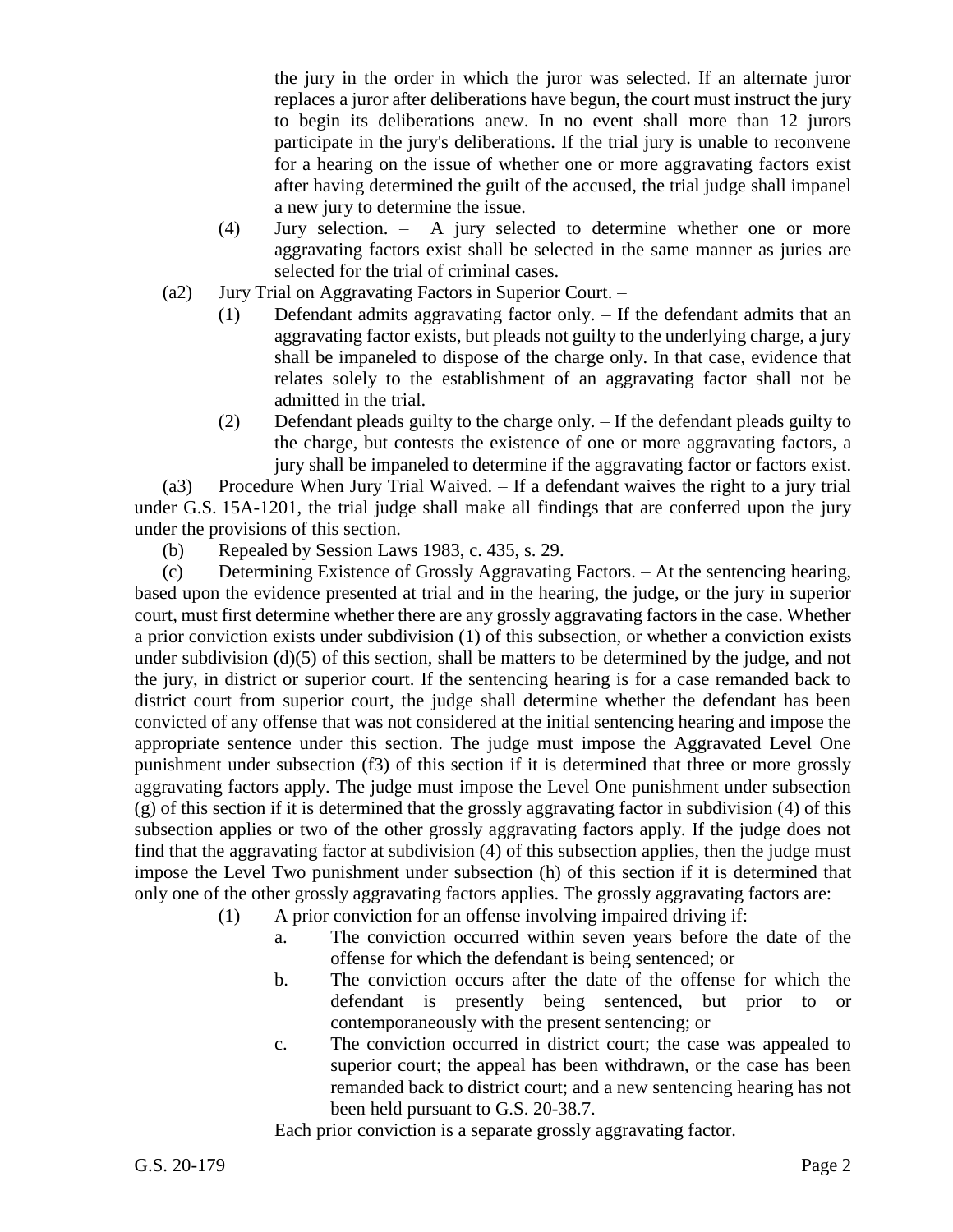the jury in the order in which the juror was selected. If an alternate juror replaces a juror after deliberations have begun, the court must instruct the jury to begin its deliberations anew. In no event shall more than 12 jurors participate in the jury's deliberations. If the trial jury is unable to reconvene for a hearing on the issue of whether one or more aggravating factors exist after having determined the guilt of the accused, the trial judge shall impanel a new jury to determine the issue.

- (4) Jury selection. A jury selected to determine whether one or more aggravating factors exist shall be selected in the same manner as juries are selected for the trial of criminal cases.
- (a2) Jury Trial on Aggravating Factors in Superior Court.
	- (1) Defendant admits aggravating factor only. If the defendant admits that an aggravating factor exists, but pleads not guilty to the underlying charge, a jury shall be impaneled to dispose of the charge only. In that case, evidence that relates solely to the establishment of an aggravating factor shall not be admitted in the trial.
	- (2) Defendant pleads guilty to the charge only. If the defendant pleads guilty to the charge, but contests the existence of one or more aggravating factors, a jury shall be impaneled to determine if the aggravating factor or factors exist.

(a3) Procedure When Jury Trial Waived. – If a defendant waives the right to a jury trial under G.S. 15A-1201, the trial judge shall make all findings that are conferred upon the jury under the provisions of this section.

(b) Repealed by Session Laws 1983, c. 435, s. 29.

(c) Determining Existence of Grossly Aggravating Factors. – At the sentencing hearing, based upon the evidence presented at trial and in the hearing, the judge, or the jury in superior court, must first determine whether there are any grossly aggravating factors in the case. Whether a prior conviction exists under subdivision (1) of this subsection, or whether a conviction exists under subdivision (d)(5) of this section, shall be matters to be determined by the judge, and not the jury, in district or superior court. If the sentencing hearing is for a case remanded back to district court from superior court, the judge shall determine whether the defendant has been convicted of any offense that was not considered at the initial sentencing hearing and impose the appropriate sentence under this section. The judge must impose the Aggravated Level One punishment under subsection (f3) of this section if it is determined that three or more grossly aggravating factors apply. The judge must impose the Level One punishment under subsection (g) of this section if it is determined that the grossly aggravating factor in subdivision (4) of this subsection applies or two of the other grossly aggravating factors apply. If the judge does not find that the aggravating factor at subdivision (4) of this subsection applies, then the judge must impose the Level Two punishment under subsection (h) of this section if it is determined that only one of the other grossly aggravating factors applies. The grossly aggravating factors are:

- (1) A prior conviction for an offense involving impaired driving if:
	- a. The conviction occurred within seven years before the date of the offense for which the defendant is being sentenced; or
	- b. The conviction occurs after the date of the offense for which the defendant is presently being sentenced, but prior to or contemporaneously with the present sentencing; or
	- c. The conviction occurred in district court; the case was appealed to superior court; the appeal has been withdrawn, or the case has been remanded back to district court; and a new sentencing hearing has not been held pursuant to G.S. 20-38.7.

Each prior conviction is a separate grossly aggravating factor.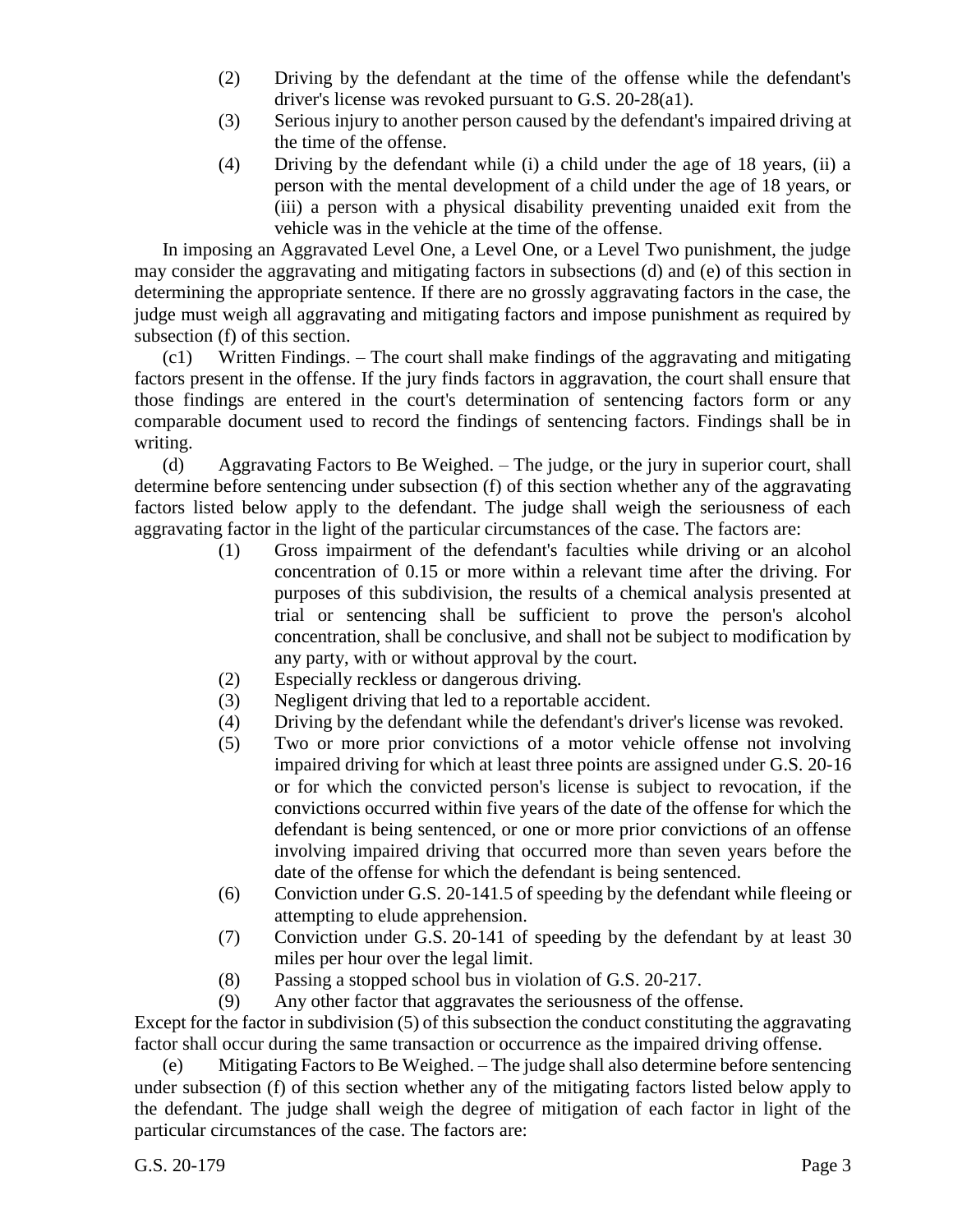- (2) Driving by the defendant at the time of the offense while the defendant's driver's license was revoked pursuant to G.S. 20-28(a1).
- (3) Serious injury to another person caused by the defendant's impaired driving at the time of the offense.
- (4) Driving by the defendant while (i) a child under the age of 18 years, (ii) a person with the mental development of a child under the age of 18 years, or (iii) a person with a physical disability preventing unaided exit from the vehicle was in the vehicle at the time of the offense.

In imposing an Aggravated Level One, a Level One, or a Level Two punishment, the judge may consider the aggravating and mitigating factors in subsections (d) and (e) of this section in determining the appropriate sentence. If there are no grossly aggravating factors in the case, the judge must weigh all aggravating and mitigating factors and impose punishment as required by subsection (f) of this section.

(c1) Written Findings. – The court shall make findings of the aggravating and mitigating factors present in the offense. If the jury finds factors in aggravation, the court shall ensure that those findings are entered in the court's determination of sentencing factors form or any comparable document used to record the findings of sentencing factors. Findings shall be in writing.

(d) Aggravating Factors to Be Weighed. – The judge, or the jury in superior court, shall determine before sentencing under subsection (f) of this section whether any of the aggravating factors listed below apply to the defendant. The judge shall weigh the seriousness of each aggravating factor in the light of the particular circumstances of the case. The factors are:

- (1) Gross impairment of the defendant's faculties while driving or an alcohol concentration of 0.15 or more within a relevant time after the driving. For purposes of this subdivision, the results of a chemical analysis presented at trial or sentencing shall be sufficient to prove the person's alcohol concentration, shall be conclusive, and shall not be subject to modification by any party, with or without approval by the court.
- (2) Especially reckless or dangerous driving.
- (3) Negligent driving that led to a reportable accident.
- (4) Driving by the defendant while the defendant's driver's license was revoked.
- (5) Two or more prior convictions of a motor vehicle offense not involving impaired driving for which at least three points are assigned under G.S. 20-16 or for which the convicted person's license is subject to revocation, if the convictions occurred within five years of the date of the offense for which the defendant is being sentenced, or one or more prior convictions of an offense involving impaired driving that occurred more than seven years before the date of the offense for which the defendant is being sentenced.
- (6) Conviction under G.S. 20-141.5 of speeding by the defendant while fleeing or attempting to elude apprehension.
- (7) Conviction under G.S. 20-141 of speeding by the defendant by at least 30 miles per hour over the legal limit.
- (8) Passing a stopped school bus in violation of G.S. 20-217.

(9) Any other factor that aggravates the seriousness of the offense.

Except for the factor in subdivision (5) of this subsection the conduct constituting the aggravating factor shall occur during the same transaction or occurrence as the impaired driving offense.

(e) Mitigating Factors to Be Weighed. – The judge shall also determine before sentencing under subsection (f) of this section whether any of the mitigating factors listed below apply to the defendant. The judge shall weigh the degree of mitigation of each factor in light of the particular circumstances of the case. The factors are: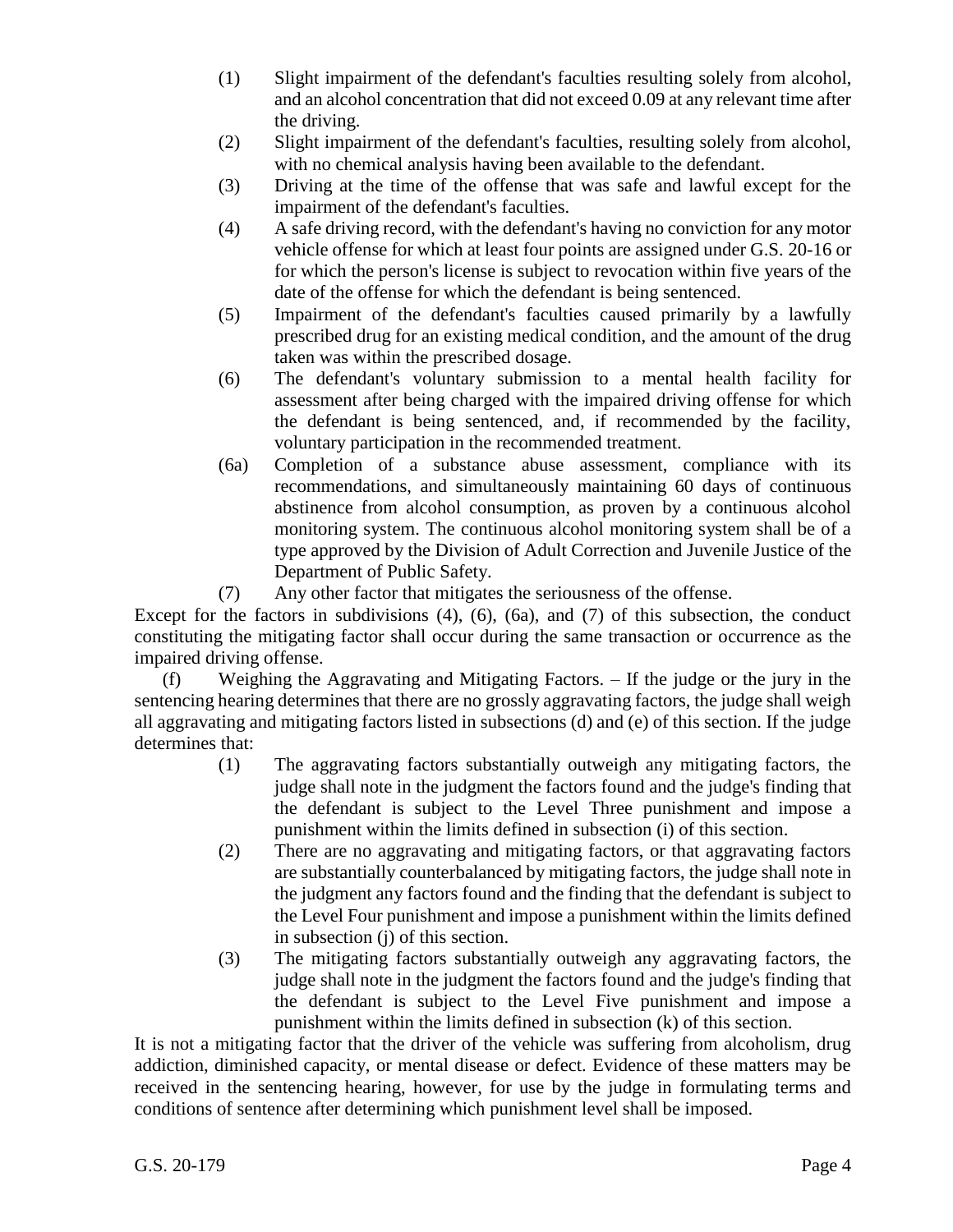- (1) Slight impairment of the defendant's faculties resulting solely from alcohol, and an alcohol concentration that did not exceed 0.09 at any relevant time after the driving.
- (2) Slight impairment of the defendant's faculties, resulting solely from alcohol, with no chemical analysis having been available to the defendant.
- (3) Driving at the time of the offense that was safe and lawful except for the impairment of the defendant's faculties.
- (4) A safe driving record, with the defendant's having no conviction for any motor vehicle offense for which at least four points are assigned under G.S. 20-16 or for which the person's license is subject to revocation within five years of the date of the offense for which the defendant is being sentenced.
- (5) Impairment of the defendant's faculties caused primarily by a lawfully prescribed drug for an existing medical condition, and the amount of the drug taken was within the prescribed dosage.
- (6) The defendant's voluntary submission to a mental health facility for assessment after being charged with the impaired driving offense for which the defendant is being sentenced, and, if recommended by the facility, voluntary participation in the recommended treatment.
- (6a) Completion of a substance abuse assessment, compliance with its recommendations, and simultaneously maintaining 60 days of continuous abstinence from alcohol consumption, as proven by a continuous alcohol monitoring system. The continuous alcohol monitoring system shall be of a type approved by the Division of Adult Correction and Juvenile Justice of the Department of Public Safety.
- (7) Any other factor that mitigates the seriousness of the offense.

Except for the factors in subdivisions (4), (6), (6a), and (7) of this subsection, the conduct constituting the mitigating factor shall occur during the same transaction or occurrence as the impaired driving offense.

(f) Weighing the Aggravating and Mitigating Factors. – If the judge or the jury in the sentencing hearing determines that there are no grossly aggravating factors, the judge shall weigh all aggravating and mitigating factors listed in subsections (d) and (e) of this section. If the judge determines that:

- (1) The aggravating factors substantially outweigh any mitigating factors, the judge shall note in the judgment the factors found and the judge's finding that the defendant is subject to the Level Three punishment and impose a punishment within the limits defined in subsection (i) of this section.
- (2) There are no aggravating and mitigating factors, or that aggravating factors are substantially counterbalanced by mitigating factors, the judge shall note in the judgment any factors found and the finding that the defendant is subject to the Level Four punishment and impose a punishment within the limits defined in subsection (j) of this section.
- (3) The mitigating factors substantially outweigh any aggravating factors, the judge shall note in the judgment the factors found and the judge's finding that the defendant is subject to the Level Five punishment and impose a punishment within the limits defined in subsection (k) of this section.

It is not a mitigating factor that the driver of the vehicle was suffering from alcoholism, drug addiction, diminished capacity, or mental disease or defect. Evidence of these matters may be received in the sentencing hearing, however, for use by the judge in formulating terms and conditions of sentence after determining which punishment level shall be imposed.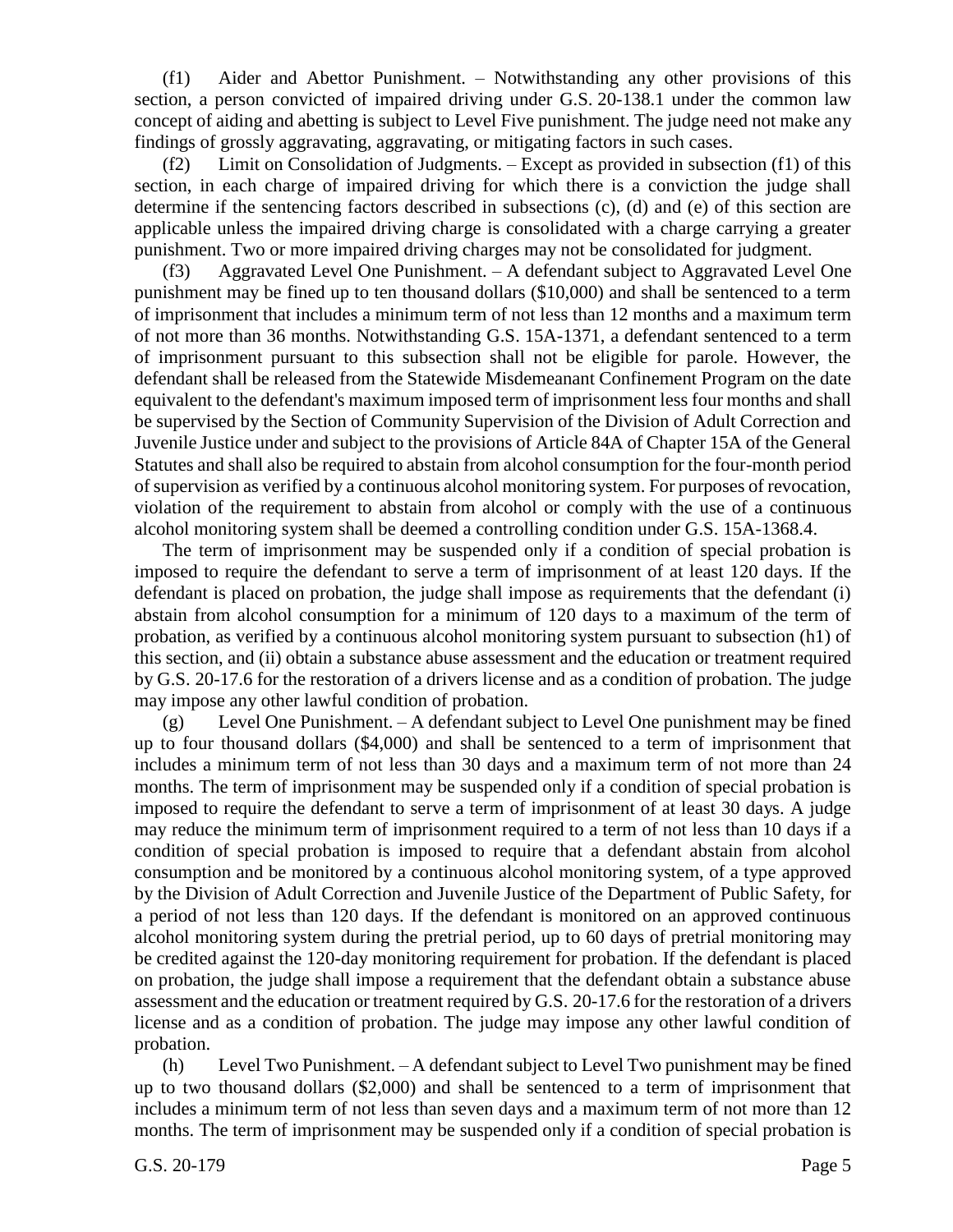(f1) Aider and Abettor Punishment. – Notwithstanding any other provisions of this section, a person convicted of impaired driving under G.S. 20-138.1 under the common law concept of aiding and abetting is subject to Level Five punishment. The judge need not make any findings of grossly aggravating, aggravating, or mitigating factors in such cases.

(f2) Limit on Consolidation of Judgments. – Except as provided in subsection (f1) of this section, in each charge of impaired driving for which there is a conviction the judge shall determine if the sentencing factors described in subsections (c), (d) and (e) of this section are applicable unless the impaired driving charge is consolidated with a charge carrying a greater punishment. Two or more impaired driving charges may not be consolidated for judgment.

(f3) Aggravated Level One Punishment. – A defendant subject to Aggravated Level One punishment may be fined up to ten thousand dollars (\$10,000) and shall be sentenced to a term of imprisonment that includes a minimum term of not less than 12 months and a maximum term of not more than 36 months. Notwithstanding G.S. 15A-1371, a defendant sentenced to a term of imprisonment pursuant to this subsection shall not be eligible for parole. However, the defendant shall be released from the Statewide Misdemeanant Confinement Program on the date equivalent to the defendant's maximum imposed term of imprisonment less four months and shall be supervised by the Section of Community Supervision of the Division of Adult Correction and Juvenile Justice under and subject to the provisions of Article 84A of Chapter 15A of the General Statutes and shall also be required to abstain from alcohol consumption for the four-month period of supervision as verified by a continuous alcohol monitoring system. For purposes of revocation, violation of the requirement to abstain from alcohol or comply with the use of a continuous alcohol monitoring system shall be deemed a controlling condition under G.S. 15A-1368.4.

The term of imprisonment may be suspended only if a condition of special probation is imposed to require the defendant to serve a term of imprisonment of at least 120 days. If the defendant is placed on probation, the judge shall impose as requirements that the defendant (i) abstain from alcohol consumption for a minimum of 120 days to a maximum of the term of probation, as verified by a continuous alcohol monitoring system pursuant to subsection (h1) of this section, and (ii) obtain a substance abuse assessment and the education or treatment required by G.S. 20-17.6 for the restoration of a drivers license and as a condition of probation. The judge may impose any other lawful condition of probation.

 $(g)$  Level One Punishment.  $-A$  defendant subject to Level One punishment may be fined up to four thousand dollars (\$4,000) and shall be sentenced to a term of imprisonment that includes a minimum term of not less than 30 days and a maximum term of not more than 24 months. The term of imprisonment may be suspended only if a condition of special probation is imposed to require the defendant to serve a term of imprisonment of at least 30 days. A judge may reduce the minimum term of imprisonment required to a term of not less than 10 days if a condition of special probation is imposed to require that a defendant abstain from alcohol consumption and be monitored by a continuous alcohol monitoring system, of a type approved by the Division of Adult Correction and Juvenile Justice of the Department of Public Safety, for a period of not less than 120 days. If the defendant is monitored on an approved continuous alcohol monitoring system during the pretrial period, up to 60 days of pretrial monitoring may be credited against the 120-day monitoring requirement for probation. If the defendant is placed on probation, the judge shall impose a requirement that the defendant obtain a substance abuse assessment and the education or treatment required by G.S. 20-17.6 for the restoration of a drivers license and as a condition of probation. The judge may impose any other lawful condition of probation.

(h) Level Two Punishment. – A defendant subject to Level Two punishment may be fined up to two thousand dollars (\$2,000) and shall be sentenced to a term of imprisonment that includes a minimum term of not less than seven days and a maximum term of not more than 12 months. The term of imprisonment may be suspended only if a condition of special probation is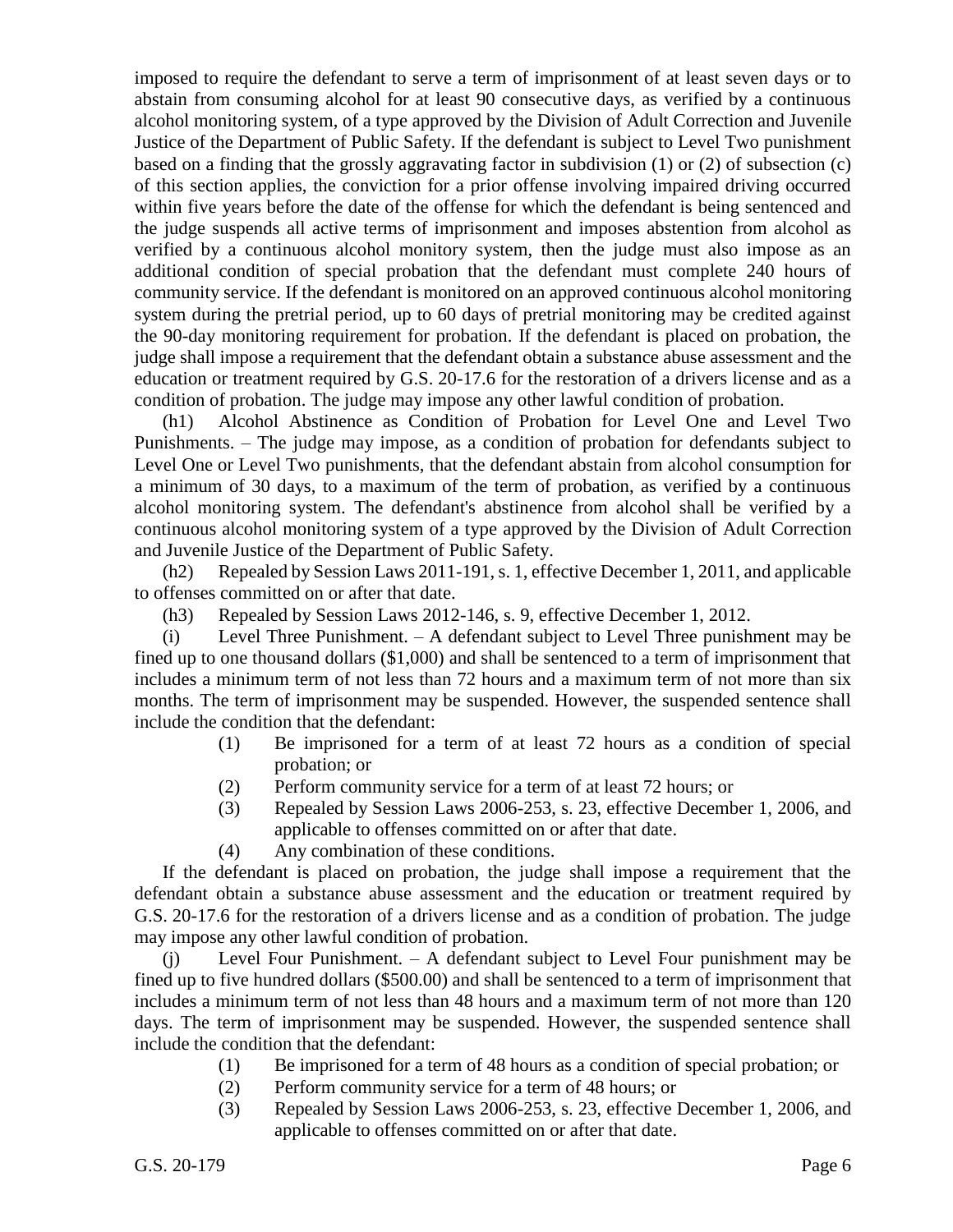imposed to require the defendant to serve a term of imprisonment of at least seven days or to abstain from consuming alcohol for at least 90 consecutive days, as verified by a continuous alcohol monitoring system, of a type approved by the Division of Adult Correction and Juvenile Justice of the Department of Public Safety. If the defendant is subject to Level Two punishment based on a finding that the grossly aggravating factor in subdivision (1) or (2) of subsection (c) of this section applies, the conviction for a prior offense involving impaired driving occurred within five years before the date of the offense for which the defendant is being sentenced and the judge suspends all active terms of imprisonment and imposes abstention from alcohol as verified by a continuous alcohol monitory system, then the judge must also impose as an additional condition of special probation that the defendant must complete 240 hours of community service. If the defendant is monitored on an approved continuous alcohol monitoring system during the pretrial period, up to 60 days of pretrial monitoring may be credited against the 90-day monitoring requirement for probation. If the defendant is placed on probation, the judge shall impose a requirement that the defendant obtain a substance abuse assessment and the education or treatment required by G.S. 20-17.6 for the restoration of a drivers license and as a condition of probation. The judge may impose any other lawful condition of probation.

(h1) Alcohol Abstinence as Condition of Probation for Level One and Level Two Punishments. – The judge may impose, as a condition of probation for defendants subject to Level One or Level Two punishments, that the defendant abstain from alcohol consumption for a minimum of 30 days, to a maximum of the term of probation, as verified by a continuous alcohol monitoring system. The defendant's abstinence from alcohol shall be verified by a continuous alcohol monitoring system of a type approved by the Division of Adult Correction and Juvenile Justice of the Department of Public Safety.

(h2) Repealed by Session Laws 2011-191, s. 1, effective December 1, 2011, and applicable to offenses committed on or after that date.

(h3) Repealed by Session Laws 2012-146, s. 9, effective December 1, 2012.

(i) Level Three Punishment. – A defendant subject to Level Three punishment may be fined up to one thousand dollars (\$1,000) and shall be sentenced to a term of imprisonment that includes a minimum term of not less than 72 hours and a maximum term of not more than six months. The term of imprisonment may be suspended. However, the suspended sentence shall include the condition that the defendant:

- (1) Be imprisoned for a term of at least 72 hours as a condition of special probation; or
- (2) Perform community service for a term of at least 72 hours; or
- (3) Repealed by Session Laws 2006-253, s. 23, effective December 1, 2006, and applicable to offenses committed on or after that date.
- (4) Any combination of these conditions.

If the defendant is placed on probation, the judge shall impose a requirement that the defendant obtain a substance abuse assessment and the education or treatment required by G.S. 20-17.6 for the restoration of a drivers license and as a condition of probation. The judge may impose any other lawful condition of probation.

(j) Level Four Punishment. – A defendant subject to Level Four punishment may be fined up to five hundred dollars (\$500.00) and shall be sentenced to a term of imprisonment that includes a minimum term of not less than 48 hours and a maximum term of not more than 120 days. The term of imprisonment may be suspended. However, the suspended sentence shall include the condition that the defendant:

- (1) Be imprisoned for a term of 48 hours as a condition of special probation; or
- (2) Perform community service for a term of 48 hours; or
- (3) Repealed by Session Laws 2006-253, s. 23, effective December 1, 2006, and applicable to offenses committed on or after that date.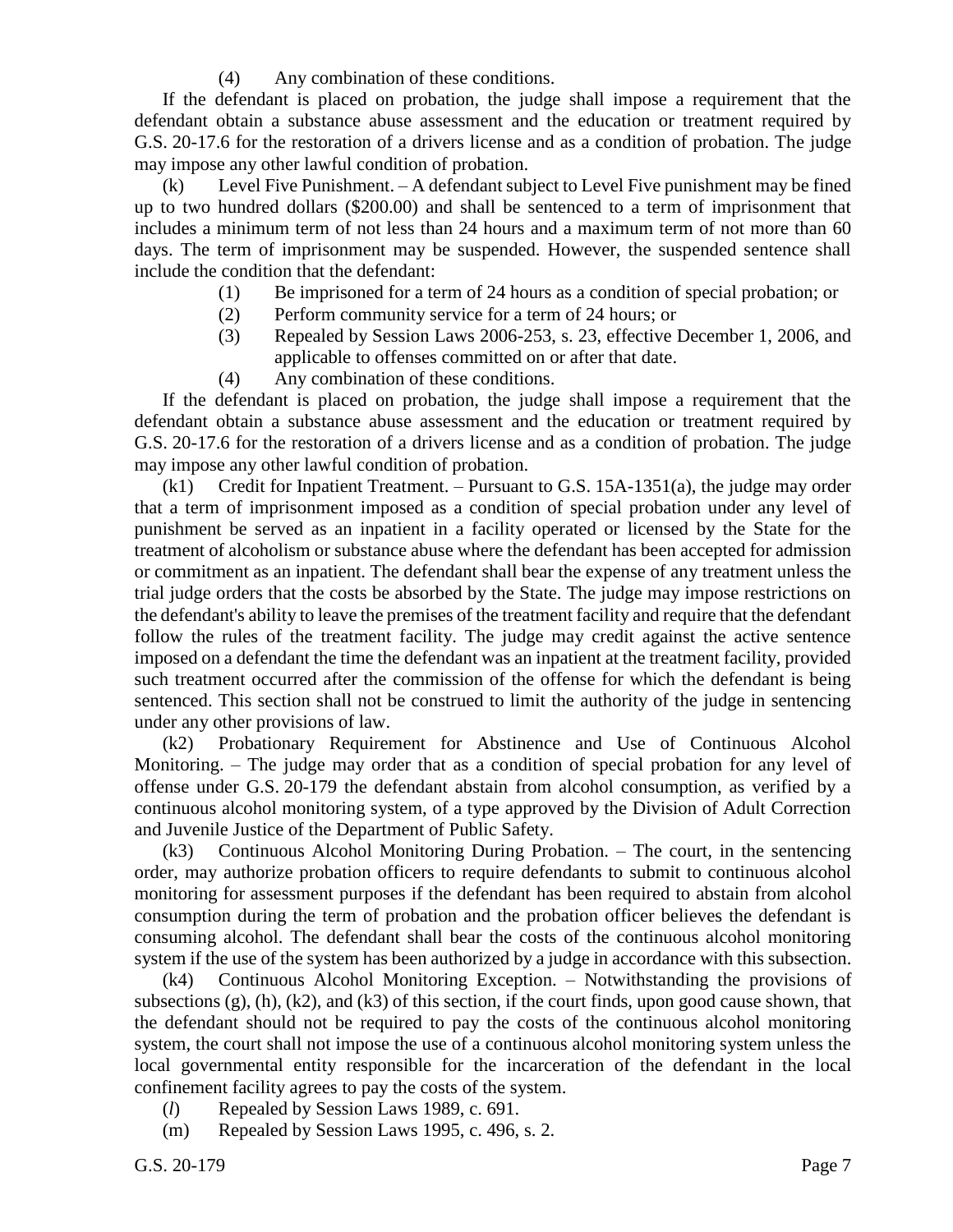(4) Any combination of these conditions.

If the defendant is placed on probation, the judge shall impose a requirement that the defendant obtain a substance abuse assessment and the education or treatment required by G.S. 20-17.6 for the restoration of a drivers license and as a condition of probation. The judge may impose any other lawful condition of probation.

(k) Level Five Punishment. – A defendant subject to Level Five punishment may be fined up to two hundred dollars (\$200.00) and shall be sentenced to a term of imprisonment that includes a minimum term of not less than 24 hours and a maximum term of not more than 60 days. The term of imprisonment may be suspended. However, the suspended sentence shall include the condition that the defendant:

- (1) Be imprisoned for a term of 24 hours as a condition of special probation; or
- (2) Perform community service for a term of 24 hours; or
- (3) Repealed by Session Laws 2006-253, s. 23, effective December 1, 2006, and applicable to offenses committed on or after that date.
- (4) Any combination of these conditions.

If the defendant is placed on probation, the judge shall impose a requirement that the defendant obtain a substance abuse assessment and the education or treatment required by G.S. 20-17.6 for the restoration of a drivers license and as a condition of probation. The judge may impose any other lawful condition of probation.

 $(k1)$  Credit for Inpatient Treatment. – Pursuant to G.S. 15A-1351(a), the judge may order that a term of imprisonment imposed as a condition of special probation under any level of punishment be served as an inpatient in a facility operated or licensed by the State for the treatment of alcoholism or substance abuse where the defendant has been accepted for admission or commitment as an inpatient. The defendant shall bear the expense of any treatment unless the trial judge orders that the costs be absorbed by the State. The judge may impose restrictions on the defendant's ability to leave the premises of the treatment facility and require that the defendant follow the rules of the treatment facility. The judge may credit against the active sentence imposed on a defendant the time the defendant was an inpatient at the treatment facility, provided such treatment occurred after the commission of the offense for which the defendant is being sentenced. This section shall not be construed to limit the authority of the judge in sentencing under any other provisions of law.

(k2) Probationary Requirement for Abstinence and Use of Continuous Alcohol Monitoring. – The judge may order that as a condition of special probation for any level of offense under G.S. 20-179 the defendant abstain from alcohol consumption, as verified by a continuous alcohol monitoring system, of a type approved by the Division of Adult Correction and Juvenile Justice of the Department of Public Safety.

(k3) Continuous Alcohol Monitoring During Probation. – The court, in the sentencing order, may authorize probation officers to require defendants to submit to continuous alcohol monitoring for assessment purposes if the defendant has been required to abstain from alcohol consumption during the term of probation and the probation officer believes the defendant is consuming alcohol. The defendant shall bear the costs of the continuous alcohol monitoring system if the use of the system has been authorized by a judge in accordance with this subsection.

(k4) Continuous Alcohol Monitoring Exception. – Notwithstanding the provisions of subsections  $(g)$ ,  $(h)$ ,  $(k2)$ , and  $(k3)$  of this section, if the court finds, upon good cause shown, that the defendant should not be required to pay the costs of the continuous alcohol monitoring system, the court shall not impose the use of a continuous alcohol monitoring system unless the local governmental entity responsible for the incarceration of the defendant in the local confinement facility agrees to pay the costs of the system.

- (*l*) Repealed by Session Laws 1989, c. 691.
- (m) Repealed by Session Laws 1995, c. 496, s. 2.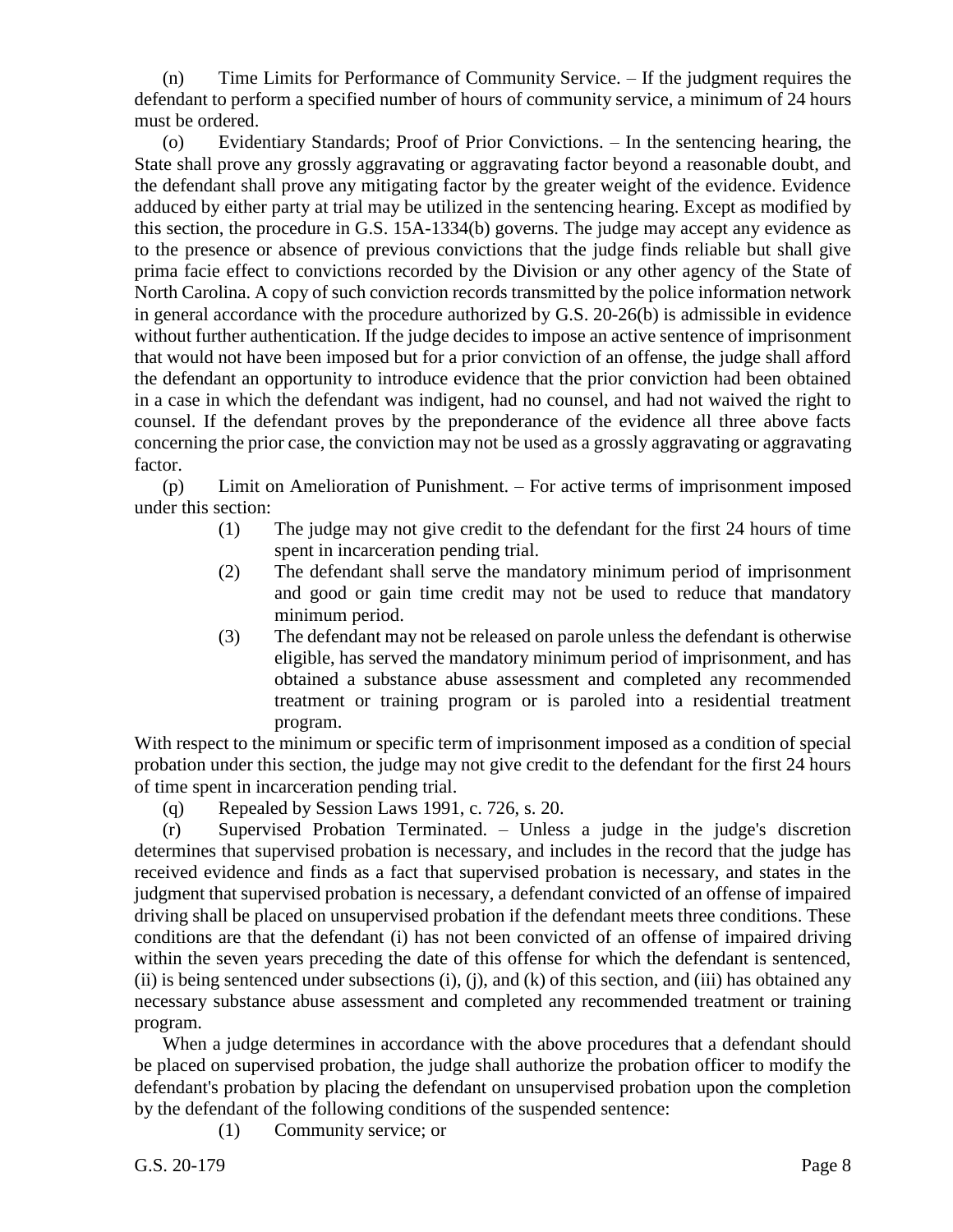(n) Time Limits for Performance of Community Service. – If the judgment requires the defendant to perform a specified number of hours of community service, a minimum of 24 hours must be ordered.

(o) Evidentiary Standards; Proof of Prior Convictions. – In the sentencing hearing, the State shall prove any grossly aggravating or aggravating factor beyond a reasonable doubt, and the defendant shall prove any mitigating factor by the greater weight of the evidence. Evidence adduced by either party at trial may be utilized in the sentencing hearing. Except as modified by this section, the procedure in G.S. 15A-1334(b) governs. The judge may accept any evidence as to the presence or absence of previous convictions that the judge finds reliable but shall give prima facie effect to convictions recorded by the Division or any other agency of the State of North Carolina. A copy of such conviction records transmitted by the police information network in general accordance with the procedure authorized by G.S. 20-26(b) is admissible in evidence without further authentication. If the judge decides to impose an active sentence of imprisonment that would not have been imposed but for a prior conviction of an offense, the judge shall afford the defendant an opportunity to introduce evidence that the prior conviction had been obtained in a case in which the defendant was indigent, had no counsel, and had not waived the right to counsel. If the defendant proves by the preponderance of the evidence all three above facts concerning the prior case, the conviction may not be used as a grossly aggravating or aggravating factor.

(p) Limit on Amelioration of Punishment. – For active terms of imprisonment imposed under this section:

- (1) The judge may not give credit to the defendant for the first 24 hours of time spent in incarceration pending trial.
- (2) The defendant shall serve the mandatory minimum period of imprisonment and good or gain time credit may not be used to reduce that mandatory minimum period.
- (3) The defendant may not be released on parole unless the defendant is otherwise eligible, has served the mandatory minimum period of imprisonment, and has obtained a substance abuse assessment and completed any recommended treatment or training program or is paroled into a residential treatment program.

With respect to the minimum or specific term of imprisonment imposed as a condition of special probation under this section, the judge may not give credit to the defendant for the first 24 hours of time spent in incarceration pending trial.

(q) Repealed by Session Laws 1991, c. 726, s. 20.

(r) Supervised Probation Terminated. – Unless a judge in the judge's discretion determines that supervised probation is necessary, and includes in the record that the judge has received evidence and finds as a fact that supervised probation is necessary, and states in the judgment that supervised probation is necessary, a defendant convicted of an offense of impaired driving shall be placed on unsupervised probation if the defendant meets three conditions. These conditions are that the defendant (i) has not been convicted of an offense of impaired driving within the seven years preceding the date of this offense for which the defendant is sentenced, (ii) is being sentenced under subsections (i), (j), and (k) of this section, and (iii) has obtained any necessary substance abuse assessment and completed any recommended treatment or training program.

When a judge determines in accordance with the above procedures that a defendant should be placed on supervised probation, the judge shall authorize the probation officer to modify the defendant's probation by placing the defendant on unsupervised probation upon the completion by the defendant of the following conditions of the suspended sentence:

(1) Community service; or